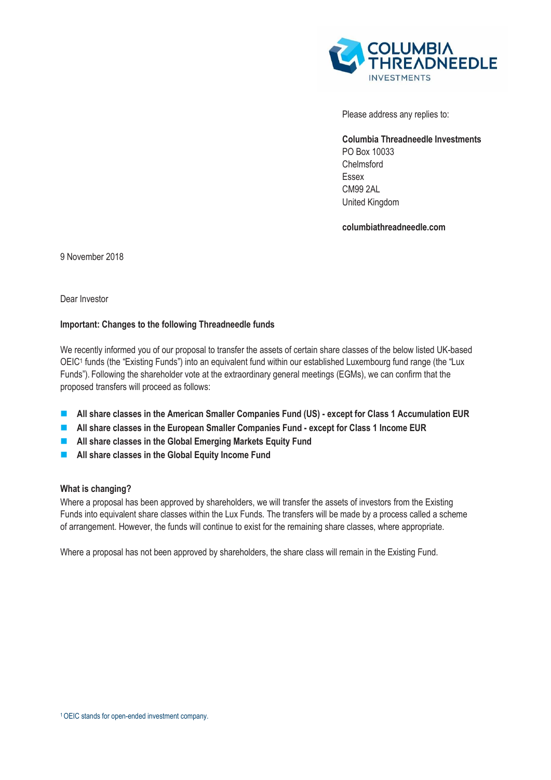

Please address any replies to:

**Columbia Threadneedle Investments**  PO Box 10033 Chelmsford Essex CM99 2AL United Kingdom

**columbiathreadneedle.com**

9 November 2018

Dear Investor

## **Important: Changes to the following Threadneedle funds**

We recently informed you of our proposal to transfer the assets of certain share classes of the below listed UK-based OEIC<sup>1</sup> funds (the "Existing Funds") into an equivalent fund within our established Luxembourg fund range (the "Lux Funds"). Following the shareholder vote at the extraordinary general meetings (EGMs), we can confirm that the proposed transfers will proceed as follows:

- All share classes in the American Smaller Companies Fund (US) except for Class 1 Accumulation EUR
- **All share classes in the European Smaller Companies Fund - except for Class 1 Income EUR**
- **All share classes in the Global Emerging Markets Equity Fund**
- **All share classes in the Global Equity Income Fund**

## **What is changing?**

Where a proposal has been approved by shareholders, we will transfer the assets of investors from the Existing Funds into equivalent share classes within the Lux Funds. The transfers will be made by a process called a scheme of arrangement. However, the funds will continue to exist for the remaining share classes, where appropriate.

Where a proposal has not been approved by shareholders, the share class will remain in the Existing Fund.